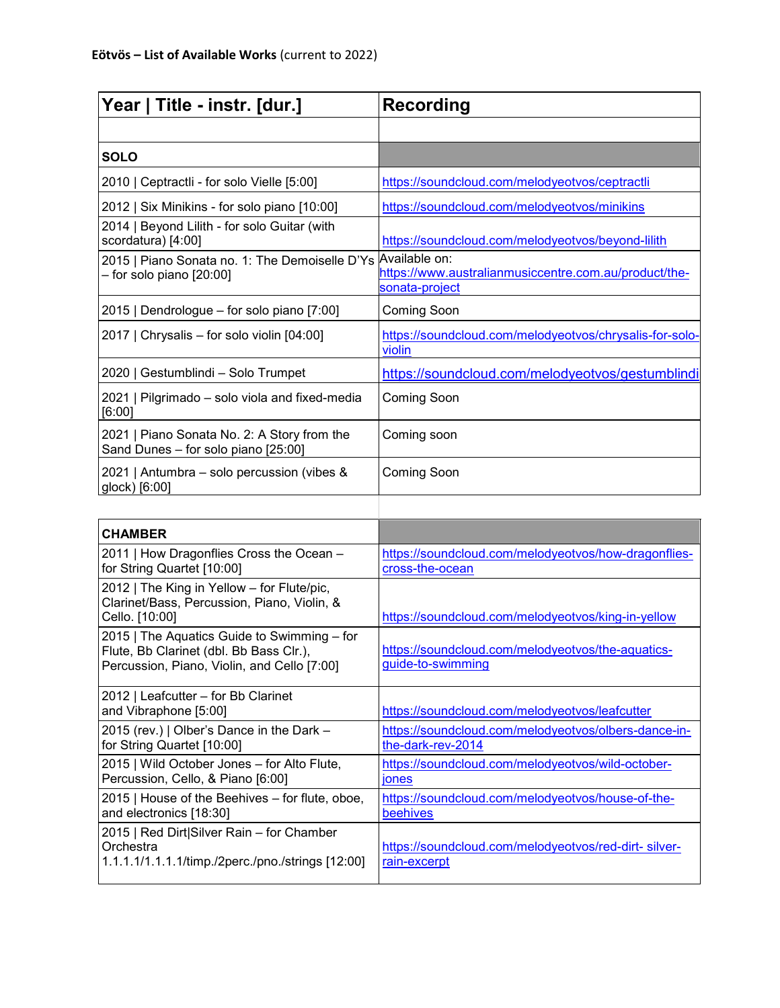| Year   Title - instr. [dur.]                                                       | <b>Recording</b>                                                                         |
|------------------------------------------------------------------------------------|------------------------------------------------------------------------------------------|
|                                                                                    |                                                                                          |
| <b>SOLO</b>                                                                        |                                                                                          |
| 2010   Ceptractli - for solo Vielle [5:00]                                         | https://soundcloud.com/melodyeotvos/ceptractli                                           |
| 2012   Six Minikins - for solo piano [10:00]                                       | https://soundcloud.com/melodyeotvos/minikins                                             |
| 2014   Beyond Lilith - for solo Guitar (with<br>scordatura) [4:00]                 | https://soundcloud.com/melodyeotvos/beyond-lilith                                        |
| 2015   Piano Sonata no. 1: The Demoiselle D'Ys<br>$-$ for solo piano $[20:00]$     | Available on:<br>https://www.australianmusiccentre.com.au/product/the-<br>sonata-project |
| 2015   Dendrologue - for solo piano [7:00]                                         | <b>Coming Soon</b>                                                                       |
| 2017   Chrysalis - for solo violin [04:00]                                         | https://soundcloud.com/melodyeotvos/chrysalis-for-solo-<br>violin                        |
| 2020   Gestumblindi - Solo Trumpet                                                 | https://soundcloud.com/melodyeotvos/gestumblindi                                         |
| 2021   Pilgrimado - solo viola and fixed-media<br>[6:00]                           | <b>Coming Soon</b>                                                                       |
| 2021   Piano Sonata No. 2: A Story from the<br>Sand Dunes - for solo piano [25:00] | Coming soon                                                                              |
| 2021   Antumbra – solo percussion (vibes &<br>glock) [6:00]                        | <b>Coming Soon</b>                                                                       |
|                                                                                    |                                                                                          |
| <b>CHAMBER</b>                                                                     |                                                                                          |

| <b>CHAMBER</b>                                                                                                                        |                                                                           |
|---------------------------------------------------------------------------------------------------------------------------------------|---------------------------------------------------------------------------|
| 2011   How Dragonflies Cross the Ocean -<br>for String Quartet [10:00]                                                                | https://soundcloud.com/melodyeotvos/how-dragonflies-<br>cross-the-ocean   |
| 2012   The King in Yellow - for Flute/pic,<br>Clarinet/Bass, Percussion, Piano, Violin, &<br>Cello. [10:00]                           | https://soundcloud.com/melodyeotvos/king-in-yellow                        |
| 2015   The Aquatics Guide to Swimming – for<br>Flute, Bb Clarinet (dbl. Bb Bass Clr.),<br>Percussion, Piano, Violin, and Cello [7:00] | https://soundcloud.com/melodyeotvos/the-aquatics-<br>guide-to-swimming    |
| 2012   Leafcutter – for Bb Clarinet<br>and Vibraphone [5:00]                                                                          | https://soundcloud.com/melodyeotyos/leafcutter                            |
| 2015 (rev.)   Olber's Dance in the Dark -<br>for String Quartet [10:00]                                                               | https://soundcloud.com/melodyeotvos/olbers-dance-in-<br>the-dark-rev-2014 |
| 2015   Wild October Jones - for Alto Flute,<br>Percussion, Cello, & Piano [6:00]                                                      | https://soundcloud.com/melodyeotvos/wild-october-<br><b>Jones</b>         |
| 2015   House of the Beehives - for flute, oboe,<br>and electronics [18:30]                                                            | https://soundcloud.com/melodyeotvos/house-of-the-<br>beehives             |
| 2015   Red Dirt Silver Rain - for Chamber<br>Orchestra<br>1.1.1.1/1.1.1.1/timp./2perc./pno./strings [12:00]                           | https://soundcloud.com/melodyeotvos/red-dirt-silver-<br>rain-excerpt      |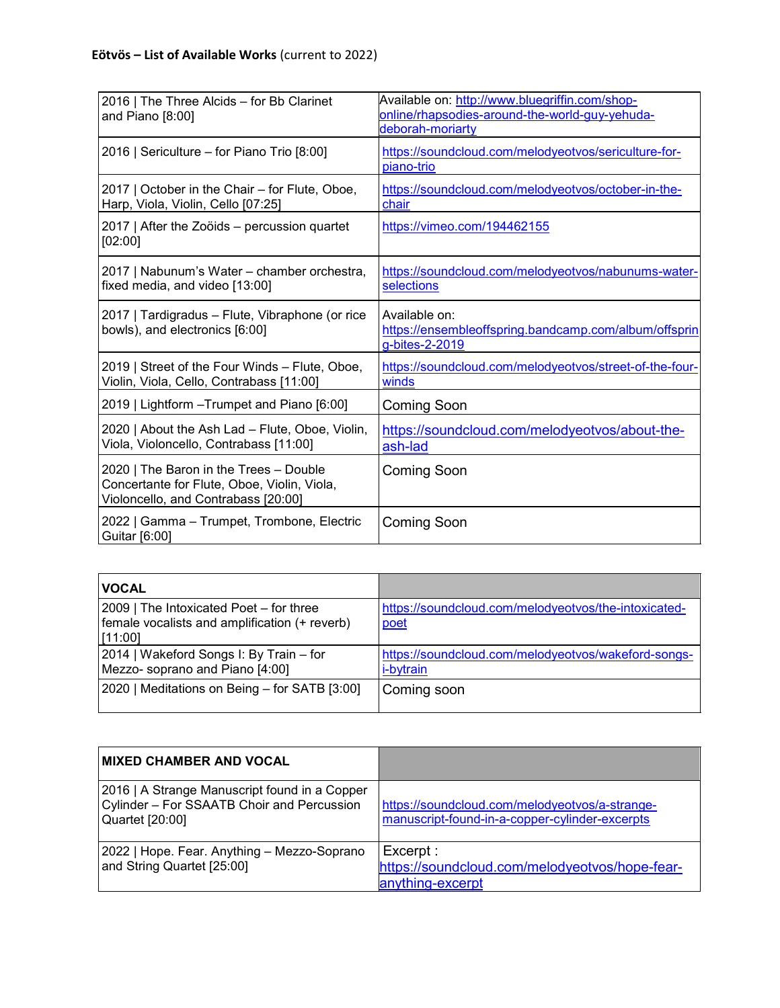| 2016   The Three Alcids - for Bb Clarinet<br>and Piano $[8:00]$                                                              | Available on: http://www.bluegriffin.com/shop-<br>online/rhapsodies-around-the-world-guy-yehuda-<br>deborah-moriarty |
|------------------------------------------------------------------------------------------------------------------------------|----------------------------------------------------------------------------------------------------------------------|
| 2016   Sericulture - for Piano Trio [8:00]                                                                                   | https://soundcloud.com/melodyeotvos/sericulture-for-<br>piano-trio                                                   |
| 2017   October in the Chair - for Flute, Oboe,<br>Harp, Viola, Violin, Cello [07:25]                                         | https://soundcloud.com/melodyeotyos/october-in-the-<br>chair                                                         |
| 2017   After the Zoöids - percussion quartet<br>[02:00]                                                                      | https://vimeo.com/194462155                                                                                          |
| 2017   Nabunum's Water - chamber orchestra,<br>fixed media, and video [13:00]                                                | https://soundcloud.com/melodyeotvos/nabunums-water-<br>selections                                                    |
| 2017   Tardigradus – Flute, Vibraphone (or rice<br>bowls), and electronics [6:00]                                            | Available on:<br>https://ensembleoffspring.bandcamp.com/album/offsprin<br>g-bites-2-2019                             |
| 2019   Street of the Four Winds – Flute, Oboe,<br>Violin, Viola, Cello, Contrabass [11:00]                                   | https://soundcloud.com/melodyeotyos/street-of-the-four-<br>winds                                                     |
| 2019   Lightform - Trumpet and Piano [6:00]                                                                                  | <b>Coming Soon</b>                                                                                                   |
| 2020   About the Ash Lad - Flute, Oboe, Violin,<br>Viola, Violoncello, Contrabass [11:00]                                    | https://soundcloud.com/melodyeotvos/about-the-<br>ash-lad                                                            |
| 2020   The Baron in the Trees - Double<br>Concertante for Flute, Oboe, Violin, Viola,<br>Violoncello, and Contrabass [20:00] | <b>Coming Soon</b>                                                                                                   |
| 2022   Gamma - Trumpet, Trombone, Electric<br>Guitar [6:00]                                                                  | <b>Coming Soon</b>                                                                                                   |

| <b>VOCAL</b>                                                                                        |                                                                         |
|-----------------------------------------------------------------------------------------------------|-------------------------------------------------------------------------|
| 2009   The Intoxicated Poet - for three<br>female vocalists and amplification (+ reverb)<br>[11:00] | https://soundcloud.com/melodyeotvos/the-intoxicated-<br>poet            |
| 2014   Wakeford Songs I: By Train - for<br>Mezzo- soprano and Piano [4:00]                          | https://soundcloud.com/melodyeotvos/wakeford-songs-<br><i>i-bytrain</i> |
| 2020   Meditations on Being - for SATB [3:00]                                                       | Coming soon                                                             |

| <b>IMIXED CHAMBER AND VOCAL</b>                                                                                |                                                                                                  |
|----------------------------------------------------------------------------------------------------------------|--------------------------------------------------------------------------------------------------|
| 2016   A Strange Manuscript found in a Copper<br>Cylinder - For SSAATB Choir and Percussion<br>Quartet [20:00] | https://soundcloud.com/melodyeotvos/a-strange-<br>manuscript-found-in-a-copper-cylinder-excerpts |
| 2022   Hope. Fear. Anything - Mezzo-Soprano<br>and String Quartet [25:00]                                      | Excerpt:<br>https://soundcloud.com/melodyeotvos/hope-fear-<br>anything-excerpt                   |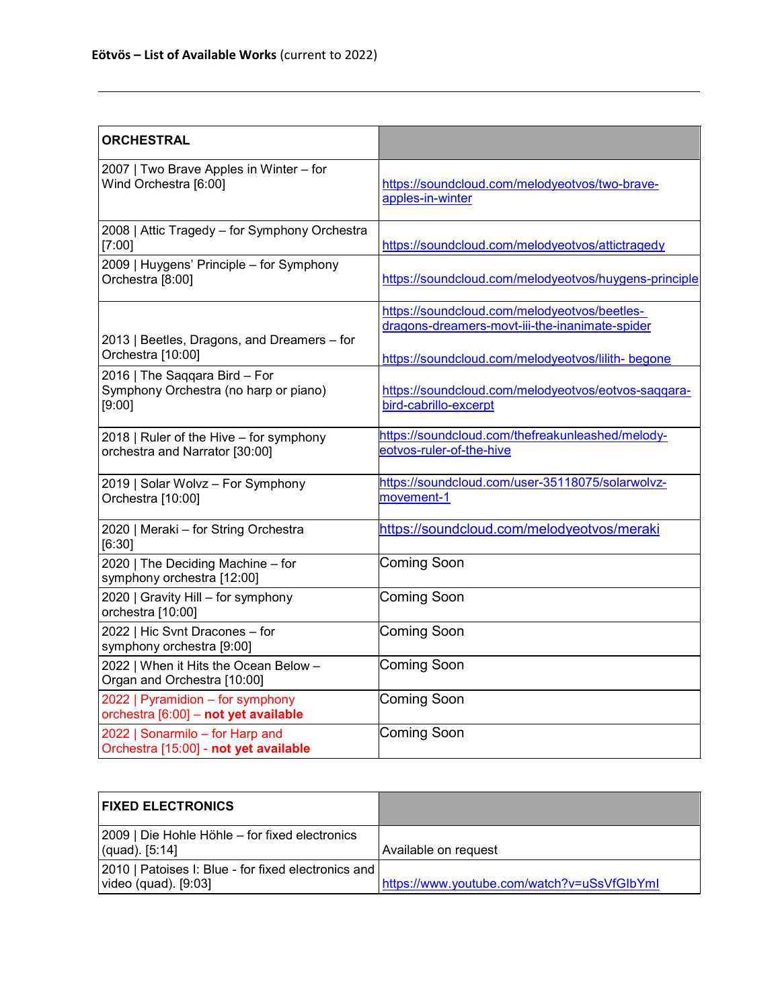| <b>ORCHESTRAL</b>                                                                |                                                                                                |
|----------------------------------------------------------------------------------|------------------------------------------------------------------------------------------------|
| 2007   Two Brave Apples in Winter - for<br>Wind Orchestra [6:00]                 | https://soundcloud.com/melodyeotvos/two-brave-<br>apples-in-winter                             |
| 2008   Attic Tragedy - for Symphony Orchestra<br>[7:00]                          | https://soundcloud.com/melodyeotvos/attictragedy                                               |
| 2009   Huygens' Principle - for Symphony<br>Orchestra [8:00]                     | https://soundcloud.com/melodyeotvos/huygens-principle                                          |
| 2013   Beetles, Dragons, and Dreamers - for                                      | https://soundcloud.com/melodyeotvos/beetles-<br>dragons-dreamers-movt-iii-the-inanimate-spider |
| Orchestra [10:00]                                                                | https://soundcloud.com/melodyeotvos/lilith- begone                                             |
| 2016   The Saqqara Bird - For<br>Symphony Orchestra (no harp or piano)<br>[9:00] | https://soundcloud.com/melodyeotvos/eotvos-saqqara-<br>bird-cabrillo-excerpt                   |
| 2018   Ruler of the Hive - for symphony<br>orchestra and Narrator [30:00]        | https://soundcloud.com/thefreakunleashed/melody-<br>eotvos-ruler-of-the-hive                   |
| 2019   Solar Wolvz - For Symphony<br>Orchestra [10:00]                           | https://soundcloud.com/user-35118075/solarwolvz-<br>movement-1                                 |
| 2020   Meraki - for String Orchestra<br>[6:30]                                   | https://soundcloud.com/melodyeotvos/meraki                                                     |
| 2020   The Deciding Machine - for<br>symphony orchestra [12:00]                  | Coming Soon                                                                                    |
| 2020   Gravity Hill - for symphony<br>orchestra [10:00]                          | Coming Soon                                                                                    |
| 2022   Hic Svnt Dracones - for<br>symphony orchestra [9:00]                      | Coming Soon                                                                                    |
| 2022   When it Hits the Ocean Below -<br>Organ and Orchestra [10:00]             | Coming Soon                                                                                    |
| 2022   Pyramidion - for symphony<br>orchestra [6:00] - not yet available         | Coming Soon                                                                                    |
| 2022   Sonarmilo - for Harp and<br>Orchestra [15:00] - not yet available         | <b>Coming Soon</b>                                                                             |

| <b>FIXED ELECTRONICS</b>                                                      |                                             |
|-------------------------------------------------------------------------------|---------------------------------------------|
| 2009   Die Hohle Höhle – for fixed electronics<br>$(quad)$ . [5:14]           | Available on request                        |
| 2010   Patoises I: Blue - for fixed electronics and  <br>video (quad). [9:03] | https://www.youtube.com/watch?v=uSsVfGlbYml |